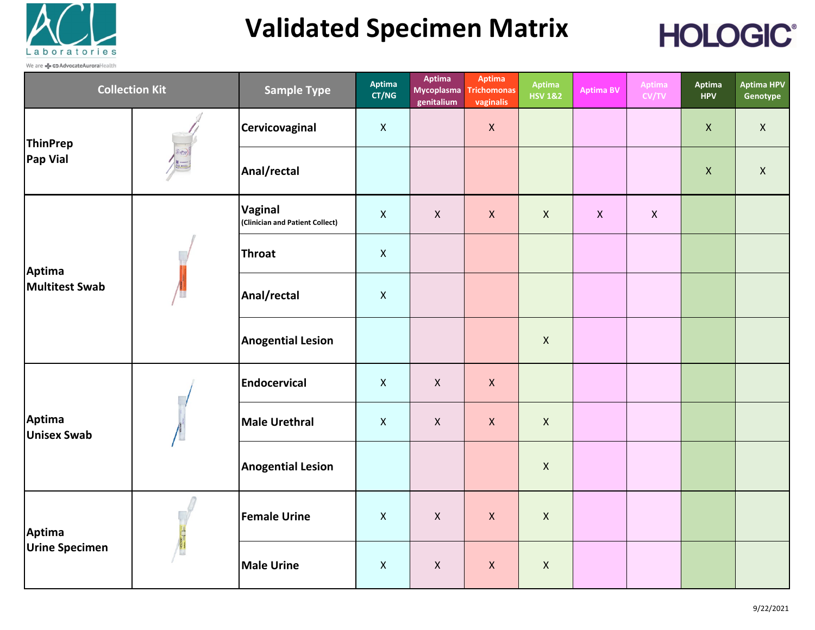

## **Validated Specimen Matrix**



| <b>Collection Kit</b>           |  | <b>Sample Type</b>                         | Aptima<br>CT/NG    | Aptima<br><b>Mycoplasma</b><br>genitalium | Aptima<br><b>Trichomonas</b><br>vaginalis | Aptima<br><b>HSV 1&amp;2</b> | <b>Aptima BV</b> | Aptima<br>CV/TV | Aptima<br><b>HPV</b> | <b>Aptima HPV</b><br>Genotype |
|---------------------------------|--|--------------------------------------------|--------------------|-------------------------------------------|-------------------------------------------|------------------------------|------------------|-----------------|----------------------|-------------------------------|
| ThinPrep<br>Pap Vial            |  | Cervicovaginal                             | $\mathsf{X}$       |                                           | $\mathsf{X}$                              |                              |                  |                 | $\mathsf X$          | $\mathsf{X}$                  |
|                                 |  | Anal/rectal                                |                    |                                           |                                           |                              |                  |                 | $\pmb{\mathsf{X}}$   | $\mathsf{X}$                  |
| Aptima<br>Multitest Swab        |  | Vaginal<br>(Clinician and Patient Collect) | $\mathsf{X}$       | $\boldsymbol{\mathsf{X}}$                 | $\pmb{\times}$                            | $\pmb{\times}$               | $\mathsf{X}$     | $\mathsf{X}$    |                      |                               |
|                                 |  | <b>Throat</b>                              | $\mathsf{X}$       |                                           |                                           |                              |                  |                 |                      |                               |
|                                 |  | Anal/rectal                                | $\pmb{\mathsf{X}}$ |                                           |                                           |                              |                  |                 |                      |                               |
|                                 |  | <b>Anogential Lesion</b>                   |                    |                                           |                                           | $\mathsf{X}$                 |                  |                 |                      |                               |
| Aptima<br><b>Unisex Swab</b>    |  | Endocervical                               | $\mathsf{X}$       | $\mathsf{X}$                              | $\mathsf{X}$                              |                              |                  |                 |                      |                               |
|                                 |  | <b>Male Urethral</b>                       | $\mathsf{X}$       | $\boldsymbol{\mathsf{X}}$                 | $\mathsf{X}$                              | $\mathsf{X}$                 |                  |                 |                      |                               |
|                                 |  | <b>Anogential Lesion</b>                   |                    |                                           |                                           | $\mathsf{X}$                 |                  |                 |                      |                               |
| Aptima<br><b>Urine Specimen</b> |  | <b>Female Urine</b>                        | $\mathsf{X}$       | $\boldsymbol{\mathsf{X}}$                 | $\mathsf{X}$                              | $\mathsf{X}$                 |                  |                 |                      |                               |
|                                 |  | <b>Male Urine</b>                          | $\mathsf{X}$       | $\boldsymbol{\mathsf{X}}$                 | $\mathsf{X}$                              | $\mathsf{X}$                 |                  |                 |                      |                               |